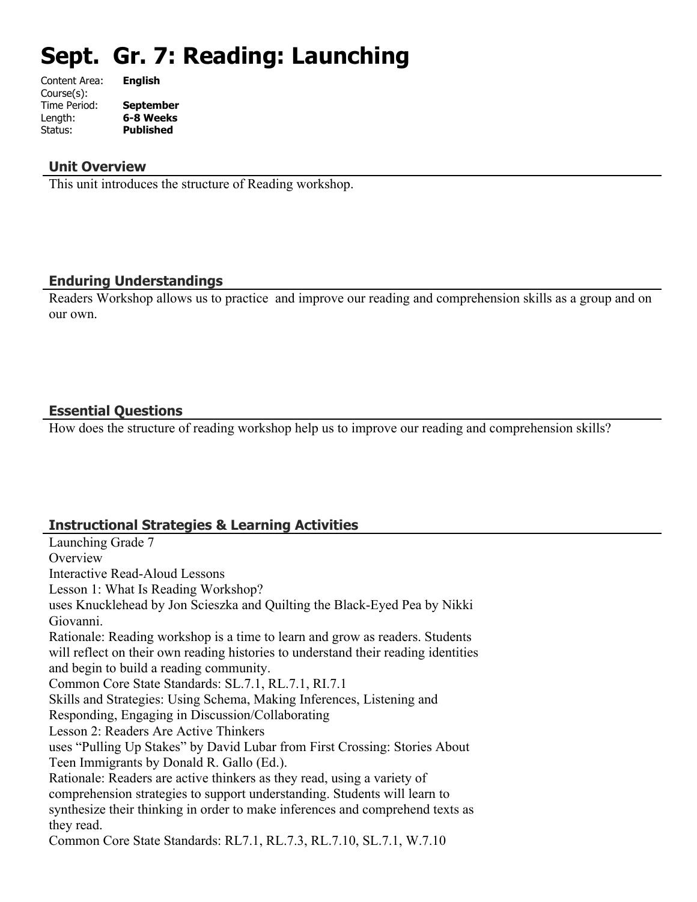# **Sept. Gr. 7: Reading: Launching**

| Content Area: | <b>English</b>   |
|---------------|------------------|
| Course(s):    |                  |
| Time Period:  | <b>September</b> |
| Length:       | 6-8 Weeks        |
| Status:       | <b>Published</b> |
|               |                  |

#### **Unit Overview**

This unit introduces the structure of Reading workshop.

#### **Enduring Understandings**

Readers Workshop allows us to practice and improve our reading and comprehension skills as a group and on our own.

## **Essential Questions**

How does the structure of reading workshop help us to improve our reading and comprehension skills?

## **Instructional Strategies & Learning Activities**

Launching Grade 7 **Overview** Interactive Read-Aloud Lessons Lesson 1: What Is Reading Workshop? uses Knucklehead by Jon Scieszka and Quilting the Black-Eyed Pea by Nikki Giovanni. Rationale: Reading workshop is a time to learn and grow as readers. Students will reflect on their own reading histories to understand their reading identities and begin to build a reading community. Common Core State Standards: SL.7.1, RL.7.1, RI.7.1 Skills and Strategies: Using Schema, Making Inferences, Listening and Responding, Engaging in Discussion/Collaborating Lesson 2: Readers Are Active Thinkers uses "Pulling Up Stakes" by David Lubar from First Crossing: Stories About Teen Immigrants by Donald R. Gallo (Ed.). Rationale: Readers are active thinkers as they read, using a variety of comprehension strategies to support understanding. Students will learn to synthesize their thinking in order to make inferences and comprehend texts as they read. Common Core State Standards: RL7.1, RL.7.3, RL.7.10, SL.7.1, W.7.10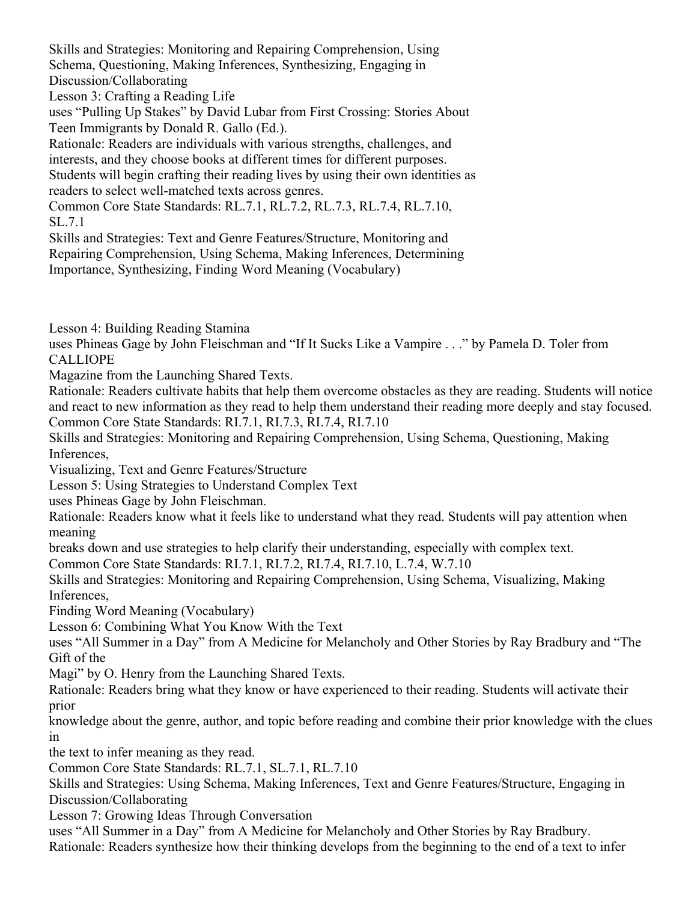Skills and Strategies: Monitoring and Repairing Comprehension, Using Schema, Questioning, Making Inferences, Synthesizing, Engaging in Discussion/Collaborating

Lesson 3: Crafting a Reading Life

uses "Pulling Up Stakes" by David Lubar from First Crossing: Stories About Teen Immigrants by Donald R. Gallo (Ed.).

Rationale: Readers are individuals with various strengths, challenges, and

interests, and they choose books at different times for different purposes.

Students will begin crafting their reading lives by using their own identities as readers to select well-matched texts across genres.

Common Core State Standards: RL.7.1, RL.7.2, RL.7.3, RL.7.4, RL.7.10, SL.7.1

Skills and Strategies: Text and Genre Features/Structure, Monitoring and Repairing Comprehension, Using Schema, Making Inferences, Determining Importance, Synthesizing, Finding Word Meaning (Vocabulary)

Lesson 4: Building Reading Stamina

uses Phineas Gage by John Fleischman and "If It Sucks Like a Vampire . . ." by Pamela D. Toler from CALLIOPE

Magazine from the Launching Shared Texts.

Rationale: Readers cultivate habits that help them overcome obstacles as they are reading. Students will notice and react to new information as they read to help them understand their reading more deeply and stay focused. Common Core State Standards: RI.7.1, RI.7.3, RI.7.4, RI.7.10

Skills and Strategies: Monitoring and Repairing Comprehension, Using Schema, Questioning, Making Inferences,

Visualizing, Text and Genre Features/Structure

Lesson 5: Using Strategies to Understand Complex Text

uses Phineas Gage by John Fleischman.

Rationale: Readers know what it feels like to understand what they read. Students will pay attention when meaning

breaks down and use strategies to help clarify their understanding, especially with complex text.

Common Core State Standards: RI.7.1, RI.7.2, RI.7.4, RI.7.10, L.7.4, W.7.10

Skills and Strategies: Monitoring and Repairing Comprehension, Using Schema, Visualizing, Making Inferences,

Finding Word Meaning (Vocabulary)

Lesson 6: Combining What You Know With the Text

uses "All Summer in a Day" from A Medicine for Melancholy and Other Stories by Ray Bradbury and "The Gift of the

Magi" by O. Henry from the Launching Shared Texts.

Rationale: Readers bring what they know or have experienced to their reading. Students will activate their prior

knowledge about the genre, author, and topic before reading and combine their prior knowledge with the clues in

the text to infer meaning as they read.

Common Core State Standards: RL.7.1, SL.7.1, RL.7.10

Skills and Strategies: Using Schema, Making Inferences, Text and Genre Features/Structure, Engaging in Discussion/Collaborating

Lesson 7: Growing Ideas Through Conversation

uses "All Summer in a Day" from A Medicine for Melancholy and Other Stories by Ray Bradbury. Rationale: Readers synthesize how their thinking develops from the beginning to the end of a text to infer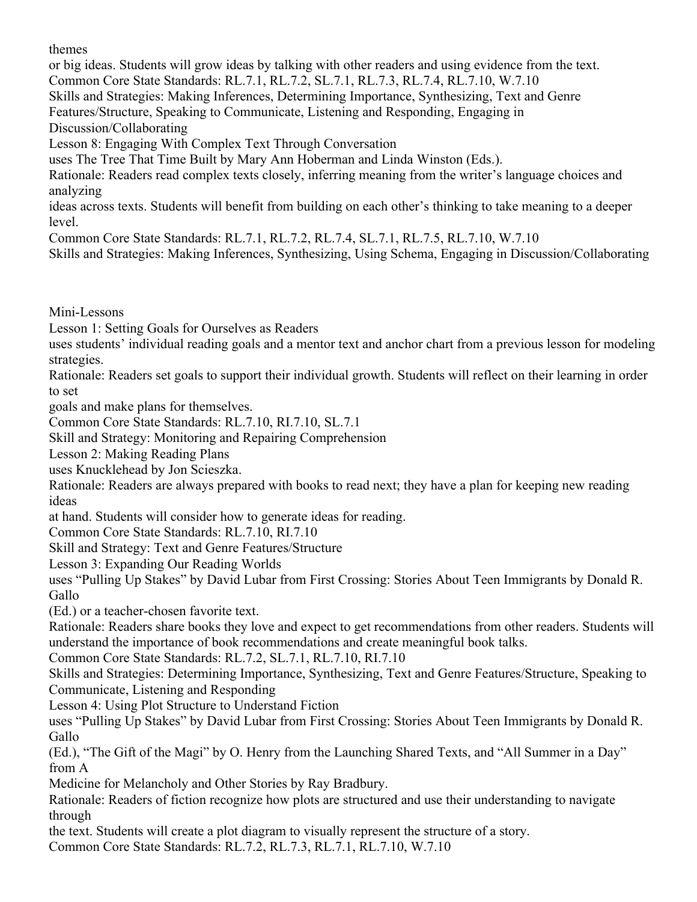themes

or big ideas. Students will grow ideas by talking with other readers and using evidence from the text.

Common Core State Standards: RL.7.1, RL.7.2, SL.7.1, RL.7.3, RL.7.4, RL.7.10, W.7.10

Skills and Strategies: Making Inferences, Determining Importance, Synthesizing, Text and Genre

Features/Structure, Speaking to Communicate, Listening and Responding, Engaging in Discussion/Collaborating

Lesson 8: Engaging With Complex Text Through Conversation

uses The Tree That Time Built by Mary Ann Hoberman and Linda Winston (Eds.).

Rationale: Readers read complex texts closely, inferring meaning from the writer's language choices and analyzing

ideas across texts. Students will benefit from building on each other's thinking to take meaning to a deeper level.

Common Core State Standards: RL.7.1, RL.7.2, RL.7.4, SL.7.1, RL.7.5, RL.7.10, W.7.10

Skills and Strategies: Making Inferences, Synthesizing, Using Schema, Engaging in Discussion/Collaborating

Mini-Lessons

Lesson 1: Setting Goals for Ourselves as Readers

uses students' individual reading goals and a mentor text and anchor chart from a previous lesson for modeling strategies.

Rationale: Readers set goals to support their individual growth. Students will reflect on their learning in order to set

goals and make plans for themselves.

Common Core State Standards: RL.7.10, RI.7.10, SL.7.1

Skill and Strategy: Monitoring and Repairing Comprehension

Lesson 2: Making Reading Plans

uses Knucklehead by Jon Scieszka.

Rationale: Readers are always prepared with books to read next; they have a plan for keeping new reading ideas

at hand. Students will consider how to generate ideas for reading.

Common Core State Standards: RL.7.10, RI.7.10

Skill and Strategy: Text and Genre Features/Structure

Lesson 3: Expanding Our Reading Worlds

uses "Pulling Up Stakes" by David Lubar from First Crossing: Stories About Teen Immigrants by Donald R. Gallo

(Ed.) or a teacher-chosen favorite text.

Rationale: Readers share books they love and expect to get recommendations from other readers. Students will understand the importance of book recommendations and create meaningful book talks.

Common Core State Standards: RL.7.2, SL.7.1, RL.7.10, RI.7.10

Skills and Strategies: Determining Importance, Synthesizing, Text and Genre Features/Structure, Speaking to Communicate, Listening and Responding

Lesson 4: Using Plot Structure to Understand Fiction

uses "Pulling Up Stakes" by David Lubar from First Crossing: Stories About Teen Immigrants by Donald R. Gallo

(Ed.), "The Gift of the Magi" by O. Henry from the Launching Shared Texts, and "All Summer in a Day" from A

Medicine for Melancholy and Other Stories by Ray Bradbury.

Rationale: Readers of fiction recognize how plots are structured and use their understanding to navigate through

the text. Students will create a plot diagram to visually represent the structure of a story.

Common Core State Standards: RL.7.2, RL.7.3, RL.7.1, RL.7.10, W.7.10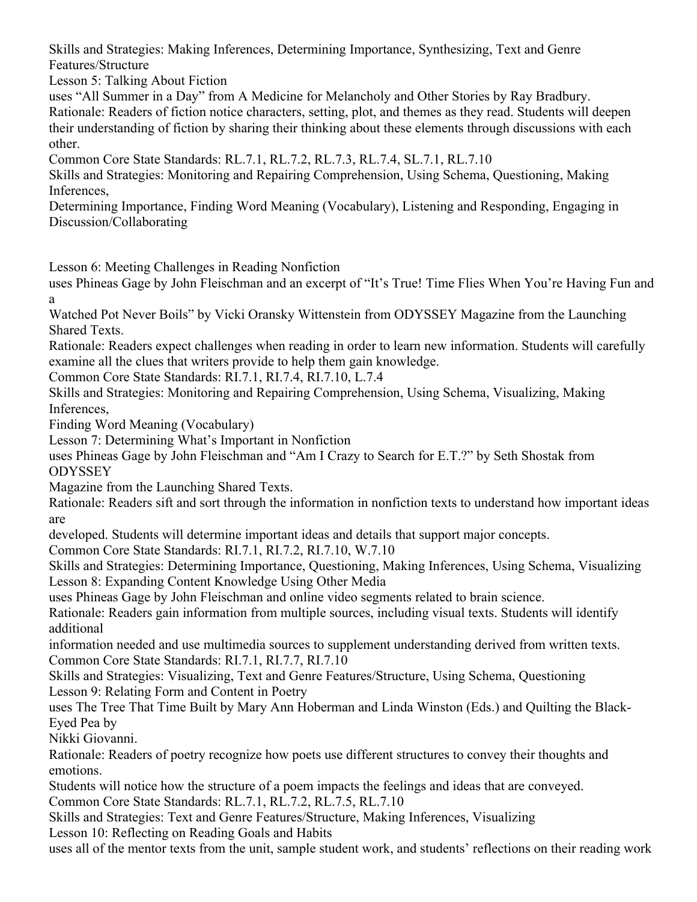Skills and Strategies: Making Inferences, Determining Importance, Synthesizing, Text and Genre Features/Structure

Lesson 5: Talking About Fiction

uses "All Summer in a Day" from A Medicine for Melancholy and Other Stories by Ray Bradbury.

Rationale: Readers of fiction notice characters, setting, plot, and themes as they read. Students will deepen their understanding of fiction by sharing their thinking about these elements through discussions with each other.

Common Core State Standards: RL.7.1, RL.7.2, RL.7.3, RL.7.4, SL.7.1, RL.7.10

Skills and Strategies: Monitoring and Repairing Comprehension, Using Schema, Questioning, Making Inferences,

Determining Importance, Finding Word Meaning (Vocabulary), Listening and Responding, Engaging in Discussion/Collaborating

Lesson 6: Meeting Challenges in Reading Nonfiction

uses Phineas Gage by John Fleischman and an excerpt of "It's True! Time Flies When You're Having Fun and a

Watched Pot Never Boils" by Vicki Oransky Wittenstein from ODYSSEY Magazine from the Launching Shared Texts.

Rationale: Readers expect challenges when reading in order to learn new information. Students will carefully examine all the clues that writers provide to help them gain knowledge.

Common Core State Standards: RI.7.1, RI.7.4, RI.7.10, L.7.4

Skills and Strategies: Monitoring and Repairing Comprehension, Using Schema, Visualizing, Making Inferences,

Finding Word Meaning (Vocabulary)

Lesson 7: Determining What's Important in Nonfiction

uses Phineas Gage by John Fleischman and "Am I Crazy to Search for E.T.?" by Seth Shostak from **ODYSSEY** 

Magazine from the Launching Shared Texts.

Rationale: Readers sift and sort through the information in nonfiction texts to understand how important ideas are

developed. Students will determine important ideas and details that support major concepts.

Common Core State Standards: RI.7.1, RI.7.2, RI.7.10, W.7.10

Skills and Strategies: Determining Importance, Questioning, Making Inferences, Using Schema, Visualizing Lesson 8: Expanding Content Knowledge Using Other Media

uses Phineas Gage by John Fleischman and online video segments related to brain science.

Rationale: Readers gain information from multiple sources, including visual texts. Students will identify additional

information needed and use multimedia sources to supplement understanding derived from written texts. Common Core State Standards: RI.7.1, RI.7.7, RI.7.10

Skills and Strategies: Visualizing, Text and Genre Features/Structure, Using Schema, Questioning Lesson 9: Relating Form and Content in Poetry

uses The Tree That Time Built by Mary Ann Hoberman and Linda Winston (Eds.) and Quilting the Black-Eyed Pea by

Nikki Giovanni.

Rationale: Readers of poetry recognize how poets use different structures to convey their thoughts and emotions.

Students will notice how the structure of a poem impacts the feelings and ideas that are conveyed. Common Core State Standards: RL.7.1, RL.7.2, RL.7.5, RL.7.10

Skills and Strategies: Text and Genre Features/Structure, Making Inferences, Visualizing Lesson 10: Reflecting on Reading Goals and Habits

uses all of the mentor texts from the unit, sample student work, and students' reflections on their reading work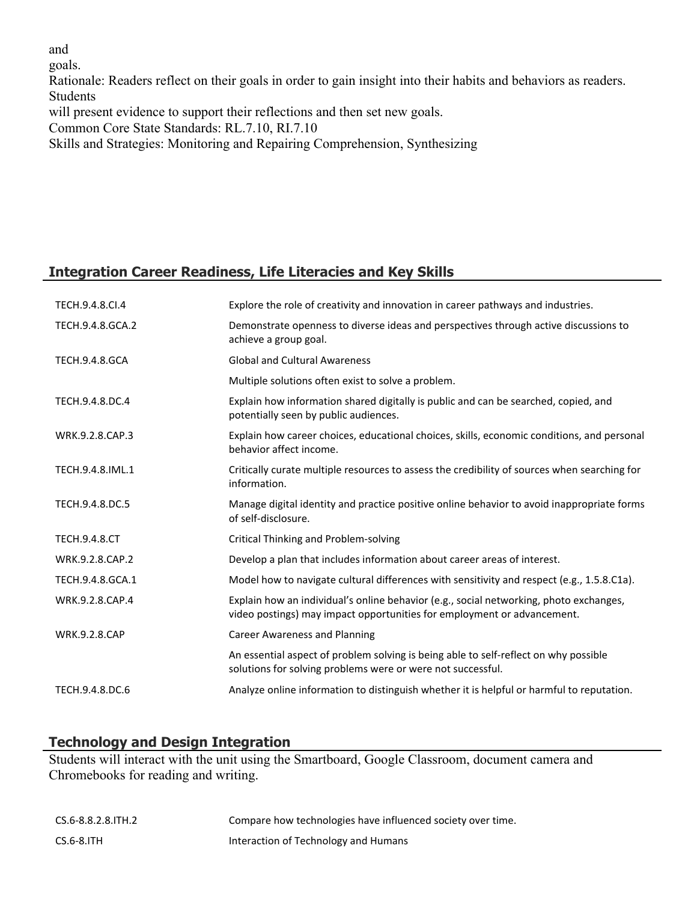and

goals.

Rationale: Readers reflect on their goals in order to gain insight into their habits and behaviors as readers. Students

will present evidence to support their reflections and then set new goals.

Common Core State Standards: RL.7.10, RI.7.10

Skills and Strategies: Monitoring and Repairing Comprehension, Synthesizing

# **Integration Career Readiness, Life Literacies and Key Skills**

| TECH.9.4.8.CI.4       | Explore the role of creativity and innovation in career pathways and industries.                                                                                  |
|-----------------------|-------------------------------------------------------------------------------------------------------------------------------------------------------------------|
| TECH.9.4.8.GCA.2      | Demonstrate openness to diverse ideas and perspectives through active discussions to<br>achieve a group goal.                                                     |
| <b>TECH.9.4.8.GCA</b> | <b>Global and Cultural Awareness</b>                                                                                                                              |
|                       | Multiple solutions often exist to solve a problem.                                                                                                                |
| TECH.9.4.8.DC.4       | Explain how information shared digitally is public and can be searched, copied, and<br>potentially seen by public audiences.                                      |
| WRK.9.2.8.CAP.3       | Explain how career choices, educational choices, skills, economic conditions, and personal<br>behavior affect income.                                             |
| TECH.9.4.8.IML.1      | Critically curate multiple resources to assess the credibility of sources when searching for<br>information.                                                      |
| TECH.9.4.8.DC.5       | Manage digital identity and practice positive online behavior to avoid inappropriate forms<br>of self-disclosure.                                                 |
| <b>TECH.9.4.8.CT</b>  | <b>Critical Thinking and Problem-solving</b>                                                                                                                      |
| WRK.9.2.8.CAP.2       | Develop a plan that includes information about career areas of interest.                                                                                          |
| TECH.9.4.8.GCA.1      | Model how to navigate cultural differences with sensitivity and respect (e.g., 1.5.8.C1a).                                                                        |
| WRK.9.2.8.CAP.4       | Explain how an individual's online behavior (e.g., social networking, photo exchanges,<br>video postings) may impact opportunities for employment or advancement. |
| <b>WRK.9.2.8.CAP</b>  | <b>Career Awareness and Planning</b>                                                                                                                              |
|                       | An essential aspect of problem solving is being able to self-reflect on why possible<br>solutions for solving problems were or were not successful.               |
| TECH.9.4.8.DC.6       | Analyze online information to distinguish whether it is helpful or harmful to reputation.                                                                         |

## **Technology and Design Integration**

Students will interact with the unit using the Smartboard, Google Classroom, document camera and Chromebooks for reading and writing.

| CS.6-8.8.2.8.ITH.2 | Compare how technologies have influenced society over time. |
|--------------------|-------------------------------------------------------------|
| CS.6-8.ITH         | Interaction of Technology and Humans                        |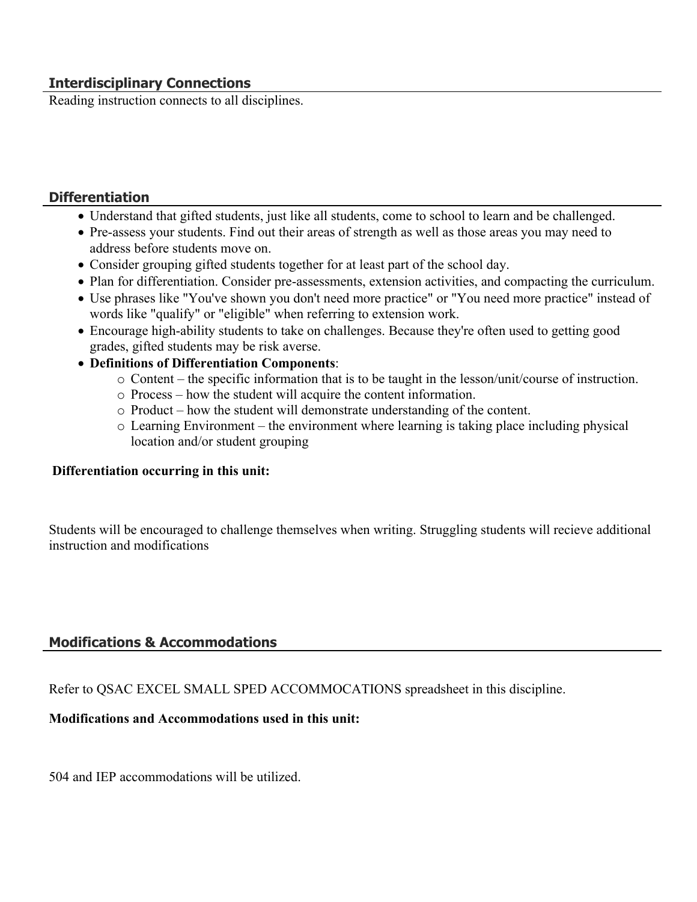## **Interdisciplinary Connections**

Reading instruction connects to all disciplines.

## **Differentiation**

- Understand that gifted students, just like all students, come to school to learn and be challenged.
- Pre-assess your students. Find out their areas of strength as well as those areas you may need to address before students move on.
- Consider grouping gifted students together for at least part of the school day.
- Plan for differentiation. Consider pre-assessments, extension activities, and compacting the curriculum.
- Use phrases like "You've shown you don't need more practice" or "You need more practice" instead of words like "qualify" or "eligible" when referring to extension work.
- Encourage high-ability students to take on challenges. Because they're often used to getting good grades, gifted students may be risk averse.
- **Definitions of Differentiation Components**:
	- o Content the specific information that is to be taught in the lesson/unit/course of instruction.
	- o Process how the student will acquire the content information.
	- o Product how the student will demonstrate understanding of the content.
	- o Learning Environment the environment where learning is taking place including physical location and/or student grouping

## **Differentiation occurring in this unit:**

Students will be encouraged to challenge themselves when writing. Struggling students will recieve additional instruction and modifications

## **Modifications & Accommodations**

Refer to QSAC EXCEL SMALL SPED ACCOMMOCATIONS spreadsheet in this discipline.

## **Modifications and Accommodations used in this unit:**

504 and IEP accommodations will be utilized.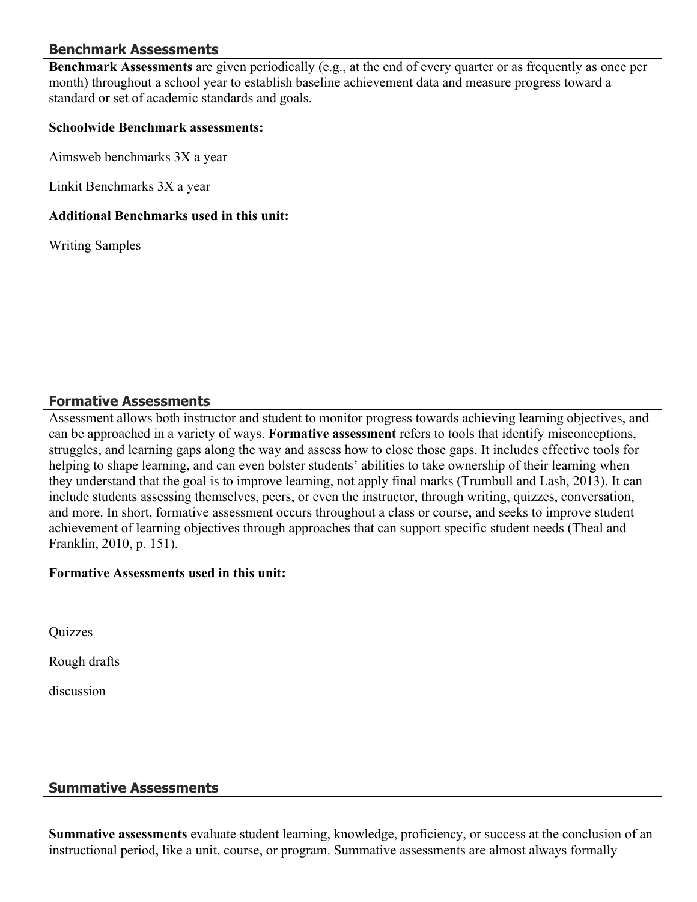## **Benchmark Assessments**

**Benchmark Assessments** are given periodically (e.g., at the end of every quarter or as frequently as once per month) throughout a school year to establish baseline achievement data and measure progress toward a standard or set of academic standards and goals.

#### **Schoolwide Benchmark assessments:**

Aimsweb benchmarks 3X a year

Linkit Benchmarks 3X a year

#### **Additional Benchmarks used in this unit:**

Writing Samples

## **Formative Assessments**

Assessment allows both instructor and student to monitor progress towards achieving learning objectives, and can be approached in a variety of ways. **Formative assessment** refers to tools that identify misconceptions, struggles, and learning gaps along the way and assess how to close those gaps. It includes effective tools for helping to shape learning, and can even bolster students' abilities to take ownership of their learning when they understand that the goal is to improve learning, not apply final marks (Trumbull and Lash, 2013). It can include students assessing themselves, peers, or even the instructor, through writing, quizzes, conversation, and more. In short, formative assessment occurs throughout a class or course, and seeks to improve student achievement of learning objectives through approaches that can support specific student needs (Theal and Franklin, 2010, p. 151).

## **Formative Assessments used in this unit:**

Quizzes

Rough drafts

discussion

## **Summative Assessments**

**Summative assessments** evaluate student learning, knowledge, proficiency, or success at the conclusion of an instructional period, like a unit, course, or program. Summative assessments are almost always formally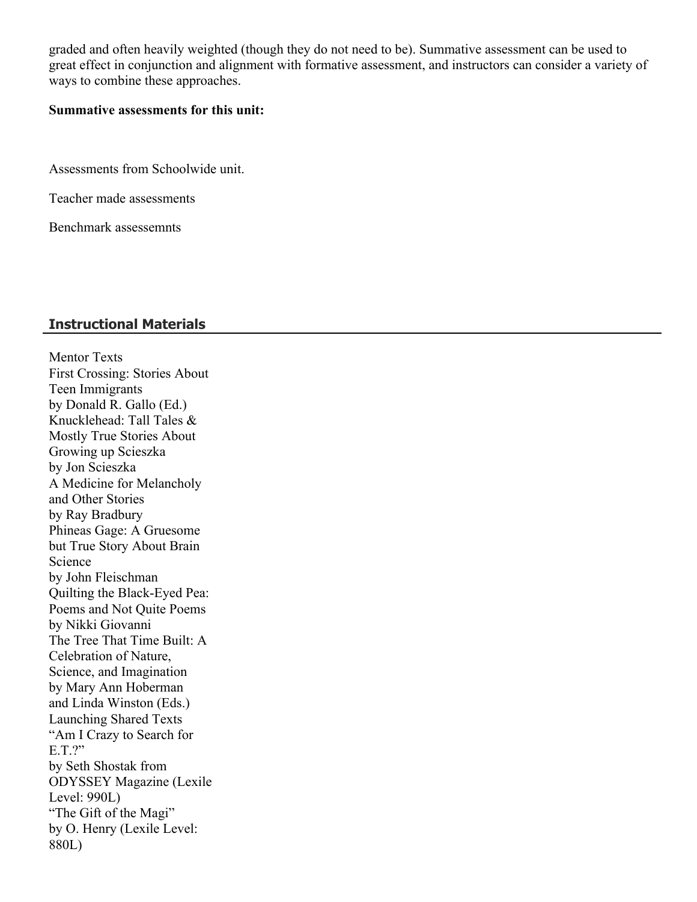graded and often heavily weighted (though they do not need to be). Summative assessment can be used to great effect in conjunction and alignment with formative assessment, and instructors can consider a variety of ways to combine these approaches.

#### **Summative assessments for this unit:**

Assessments from Schoolwide unit.

Teacher made assessments

Benchmark assessemnts

#### **Instructional Materials**

Mentor Texts First Crossing: Stories About Teen Immigrants by Donald R. Gallo (Ed.) Knucklehead: Tall Tales & Mostly True Stories About Growing up Scieszka by Jon Scieszka A Medicine for Melancholy and Other Stories by Ray Bradbury Phineas Gage: A Gruesome but True Story About Brain Science by John Fleischman Quilting the Black-Eyed Pea: Poems and Not Quite Poems by Nikki Giovanni The Tree That Time Built: A Celebration of Nature, Science, and Imagination by Mary Ann Hoberman and Linda Winston (Eds.) Launching Shared Texts "Am I Crazy to Search for E.T.?" by Seth Shostak from ODYSSEY Magazine (Lexile Level: 990L) "The Gift of the Magi" by O. Henry (Lexile Level: 880L)